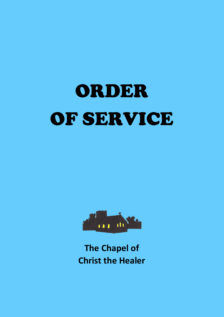# ORDER OF SERVICE



**The Chapel of Christ the Healer**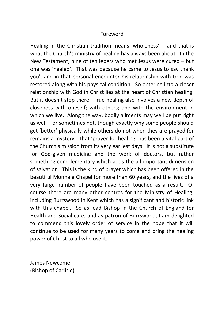#### Foreword

Healing in the Christian tradition means 'wholeness' – and that is what the Church's ministry of healing has always been about. In the New Testament, nine of ten lepers who met Jesus were cured – but one was 'healed'. That was because he came to Jesus to say thank you', and in that personal encounter his relationship with God was restored along with his physical condition. So entering into a closer relationship with God in Christ lies at the heart of Christian healing. But it doesn't stop there. True healing also involves a new depth of closeness with oneself; with others; and with the environment in which we live. Along the way, bodily ailments may well be put right as well – or sometimes not, though exactly why some people should get 'better' physically while others do not when they are prayed for remains a mystery. That 'prayer for healing' has been a vital part of the Church's mission from its very earliest days. It is not a substitute for God-given medicine and the work of doctors, but rather something complementary which adds the all important dimension of salvation. This is the kind of prayer which has been offered in the beautiful Monnaie Chapel for more than 60 years, and the lives of a very large number of people have been touched as a result. Of course there are many other centres for the Ministry of Healing, including Burrswood in Kent which has a significant and historic link with this chapel. So as lead Bishop in the Church of England for Health and Social care, and as patron of Burrswood, I am delighted to commend this lovely order of service in the hope that it will continue to be used for many years to come and bring the healing power of Christ to all who use it.

James Newcome (Bishop of Carlisle)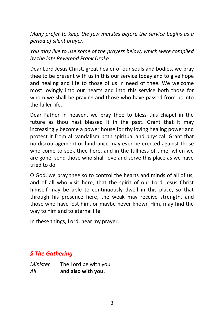*Many prefer to keep the few minutes before the service begins as a period of silent prayer.*

*You may like to use some of the prayers below, which were compiled by the late Reverend Frank Drake.*

Dear Lord Jesus Christ, great healer of our souls and bodies, we pray thee to be present with us in this our service today and to give hope and healing and life to those of us in need of thee. We welcome most lovingly into our hearts and into this service both those for whom we shall be praying and those who have passed from us into the fuller life.

Dear Father in heaven, we pray thee to bless this chapel in the future as thou hast blessed it in the past. Grant that it may increasingly become a power house for thy loving healing power and protect it from all vandalism both spiritual and physical. Grant that no discouragement or hindrance may ever be erected against those who come to seek thee here, and in the fullness of time, when we are gone, send those who shall love and serve this place as we have tried to do.

O God, we pray thee so to control the hearts and minds of all of us, and of all who visit here, that the spirit of our Lord Jesus Christ himself may be able to continuously dwell in this place, so that through his presence here, the weak may receive strength, and those who have lost him, or maybe never known Him, may find the way to him and to eternal life.

In these things, Lord, hear my prayer.

## *§ The Gathering*

| Minister | The Lord be with you |
|----------|----------------------|
| All      | and also with you.   |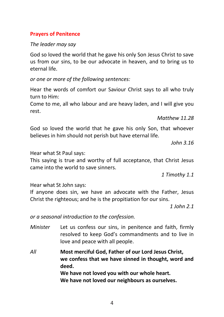## **Prayers of Penitence**

#### *The leader may say*

God so loved the world that he gave his only Son Jesus Christ to save us from our sins, to be our advocate in heaven, and to bring us to eternal life.

*or one or more of the following sentences:*

Hear the words of comfort our Saviour Christ says to all who truly turn to Him:

Come to me, all who labour and are heavy laden, and I will give you rest.

*Matthew 11.28*

God so loved the world that he gave his only Son, that whoever believes in him should not perish but have eternal life.

*John 3.16*

Hear what St Paul says:

This saying is true and worthy of full acceptance, that Christ Jesus came into the world to save sinners.

*1 Timothy 1.1*

Hear what St John says:

If anyone does sin, we have an advocate with the Father, Jesus Christ the righteous; and he is the propitiation for our sins.

*1 John 2.1*

*or a seasonal introduction to the confession.*

- *Minister* Let us confess our sins, in penitence and faith, firmly resolved to keep God's commandments and to live in love and peace with all people.
- *All* **Most merciful God, Father of our Lord Jesus Christ, we confess that we have sinned in thought, word and deed. We have not loved you with our whole heart. We have not loved our neighbours as ourselves.**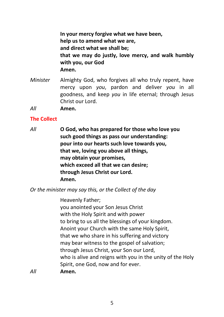**In your mercy forgive what we have been, help us to amend what we are, and direct what we shall be; that we may do justly, love mercy, and walk humbly with you, our God Amen.**

- *Minister* Almighty God, who forgives all who truly repent, have mercy upon *you*, pardon and deliver *you* in all goodness, and keep *you* in life eternal; through Jesus Christ our Lord.
- *All* **Amen.**

#### **The Collect**

*All* **O God, who has prepared for those who love you such good things as pass our understanding: pour into our hearts such love towards you, that we, loving you above all things, may obtain your promises, which exceed all that we can desire; through Jesus Christ our Lord. Amen.**

*Or the minister may say this, or the Collect of the day*

Heavenly Father; you anointed your Son Jesus Christ with the Holy Spirit and with power to bring to us all the blessings of your kingdom. Anoint your Church with the same Holy Spirit, that we who share in his suffering and victory may bear witness to the gospel of salvation; through Jesus Christ, your Son our Lord, who is alive and reigns with you in the unity of the Holy Spirit, one God, now and for ever. *All* **Amen.**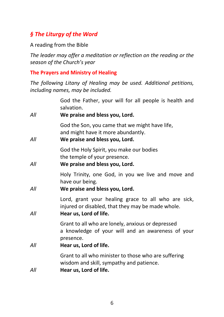# *§ The Liturgy of the Word*

A reading from the Bible

*The leader may offer a meditation or reflection on the reading or the season of the Church's year*

## **The Prayers and Ministry of Healing**

*The following Litany of Healing may be used. Additional petitions, including names, may be included.*

| All | God the Father, your will for all people is health and<br>salvation.<br>We praise and bless you, Lord.                                        |
|-----|-----------------------------------------------------------------------------------------------------------------------------------------------|
| All | God the Son, you came that we might have life,<br>and might have it more abundantly.<br>We praise and bless you, Lord.                        |
| All | God the Holy Spirit, you make our bodies<br>the temple of your presence.<br>We praise and bless you, Lord.                                    |
| All | Holy Trinity, one God, in you we live and move and<br>have our being.<br>We praise and bless you, Lord.                                       |
| All | Lord, grant your healing grace to all who are sick,<br>injured or disabled, that they may be made whole.<br>Hear us, Lord of life.            |
| Αll | Grant to all who are lonely, anxious or depressed<br>a knowledge of your will and an awareness of your<br>presence.<br>Hear us, Lord of life. |
|     |                                                                                                                                               |
| Αll | Grant to all who minister to those who are suffering<br>wisdom and skill, sympathy and patience.<br>Hear us, Lord of life.                    |
|     |                                                                                                                                               |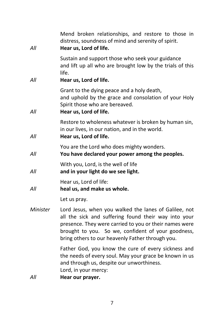| All      | Mend broken relationships, and restore to those in<br>distress, soundness of mind and serenity of spirit.<br>Hear us, Lord of life.                                                                                                                                               |
|----------|-----------------------------------------------------------------------------------------------------------------------------------------------------------------------------------------------------------------------------------------------------------------------------------|
| All      | Sustain and support those who seek your guidance<br>and lift up all who are brought low by the trials of this<br>life.<br>Hear us, Lord of life.                                                                                                                                  |
| All      | Grant to the dying peace and a holy death,<br>and uphold by the grace and consolation of your Holy<br>Spirit those who are bereaved.<br>Hear us, Lord of life.                                                                                                                    |
| All      | Restore to wholeness whatever is broken by human sin,<br>in our lives, in our nation, and in the world.<br>Hear us, Lord of life.                                                                                                                                                 |
| All      | You are the Lord who does mighty wonders.<br>You have declared your power among the peoples.                                                                                                                                                                                      |
| All      | With you, Lord, is the well of life<br>and in your light do we see light.                                                                                                                                                                                                         |
| All      | Hear us, Lord of life:<br>heal us, and make us whole.                                                                                                                                                                                                                             |
|          | Let us pray.                                                                                                                                                                                                                                                                      |
| Minister | Lord Jesus, when you walked the lanes of Galilee, not<br>all the sick and suffering found their way into your<br>presence. They were carried to you or their names were<br>brought to you. So we, confident of your goodness,<br>bring others to our heavenly Father through you. |
| All      | Father God, you know the cure of every sickness and<br>the needs of every soul. May your grace be known in us<br>and through us, despite our unworthiness.<br>Lord, in your mercy:<br>Hear our prayer.                                                                            |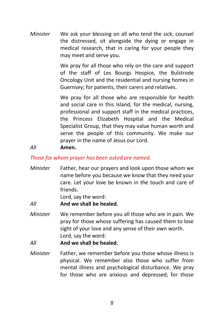*Minister* We ask your blessing on all who tend the sick, counsel the distressed, sit alongside the dying or engage in medical research, that in caring for your people they may meet and serve you.

> We pray for all those who rely on the care and support of the staff of Les Bourgs Hospice, the Bulstrode Oncology Unit and the residential and nursing homes in Guernsey; for patients, their carers and relatives.

> We pray for all those who are responsible for health and social care in this Island; for the medical, nursing, professional and support staff in the medical practices, the Princess Elizabeth Hospital and the Medical Specialist Group, that they may value human worth and serve the people of this community. We make our prayer in the name of Jesus our Lord.

## *All* **Amen.**

#### *Those for whom prayer has been asked are named.*

*Minister* Father, hear our prayers and look upon those whom we name before you because we know that they need your care. Let your love be known in the touch and care of friends.

Lord, say the word:

*All* **And we shall be healed.**

*Minister* We remember before you all those who are in pain. We pray for those whose suffering has caused them to lose sight of your love and any sense of their own worth. Lord, say the word:

*All* **And we shall be healed.**

*Minister* Father, we remember before you those whose illness is physical. We remember also those who suffer from mental illness and psychological disturbance. We pray for those who are anxious and depressed; for those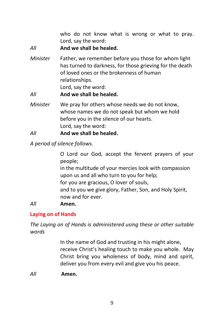who do not know what is wrong or what to pray. Lord, say the word:

*All* **And we shall be healed.**

*Minister* Father, we remember before you those for whom light has turned to darkness, for those grieving for the death of loved ones or the brokenness of human relationships. Lord, say the word:

*All* **And we shall be healed.**

*Minister* We pray for others whose needs we do not know, whose names we do not speak but whom we hold before you in the silence of our hearts. Lord, say the word:

*All* **And we shall be healed.**

*A period of silence follows.*

O Lord our God, accept the fervent prayers of your people; in the multitude of your mercies look with compassion upon us and all who turn to you for help; for you are gracious, O lover of souls, and to you we give glory, Father, Son, and Holy Spirit, now and for ever.

## *All* **Amen.**

## **Laying on of Hands**

*The Laying on of Hands is administered using these or other suitable words*

> In the name of God and trusting in his might alone, receive Christ's healing touch to make you whole. May Christ bring you wholeness of body, mind and spirit, deliver you from every evil and give you his peace.

*All* **Amen.**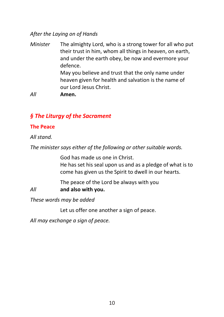## *After the Laying on of Hands*

- *Minister* The almighty Lord, who is a strong tower for all who put their trust in him, whom all things in heaven, on earth, and under the earth obey, be now and evermore your defence. May you believe and trust that the only name under heaven given for health and salvation is the name of our Lord Jesus Christ.
- *All* **Amen.**

## *§ The Liturgy of the Sacrament*

#### **The Peace**

#### *All stand.*

*The minister says either of the following or other suitable words.*

God has made us one in Christ. He has set his seal upon us and as a pledge of what is to come has given us the Spirit to dwell in our hearts.

The peace of the Lord be always with you *All* **and also with you.**

*These words may be added*

Let us offer one another a sign of peace.

*All may exchange a sign of peace.*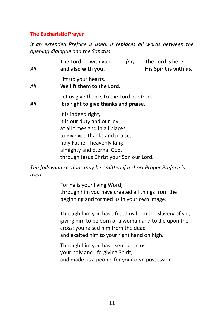## **The Eucharistic Prayer**

*If an extended Preface is used, it replaces all words between the opening dialogue and the Sanctus*

| All | The Lord be with you<br>and also with you.                                                                                                                                                                                    | (or) | The Lord is here.<br>His Spirit is with us. |
|-----|-------------------------------------------------------------------------------------------------------------------------------------------------------------------------------------------------------------------------------|------|---------------------------------------------|
| All | Lift up your hearts.<br>We lift them to the Lord.                                                                                                                                                                             |      |                                             |
| All | Let us give thanks to the Lord our God.<br>It is right to give thanks and praise.                                                                                                                                             |      |                                             |
|     | It is indeed right,<br>it is our duty and our joy.<br>at all times and in all places<br>to give you thanks and praise,<br>holy Father, heavenly King,<br>almighty and eternal God,<br>through Jesus Christ your Son our Lord. |      |                                             |

*The following sections may be omitted if a short Proper Preface is used*

> For he is your living Word; through him you have created all things from the beginning and formed us in your own image.

Through him you have freed us from the slavery of sin, giving him to be born of a woman and to die upon the cross; you raised him from the dead and exalted him to your right hand on high.

Through him you have sent upon us your holy and life-giving Spirit, and made us a people for your own possession.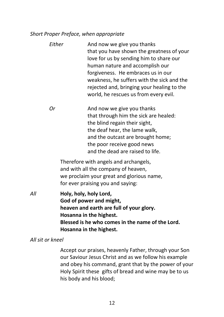#### *Short Proper Preface, when appropriate*

| love for us by sending him to share our | human nature and accomplish our<br>forgiveness. He embraces us in our<br>weakness, he suffers with the sick and the<br>rejected and, bringing your healing to the<br>world, he rescues us from every evil.                                                                                                                   |
|-----------------------------------------|------------------------------------------------------------------------------------------------------------------------------------------------------------------------------------------------------------------------------------------------------------------------------------------------------------------------------|
| Оr                                      | And now we give you thanks<br>that through him the sick are healed:<br>the blind regain their sight,<br>the deaf hear, the lame walk,<br>and the outcast are brought home;<br>the poor receive good news<br>and the dead are raised to life.<br>Therefore with angels and archangels,<br>and with all the company of heaven, |

*All* **Holy, holy, holy Lord, God of power and might, heaven and earth are full of your glory. Hosanna in the highest. Blessed is he who comes in the name of the Lord. Hosanna in the highest.**

for ever praising you and saying:

*All sit or kneel*

Accept our praises, heavenly Father, through your Son our Saviour Jesus Christ and as we follow his example and obey his command, grant that by the power of your Holy Spirit these gifts of bread and wine may be to us his body and his blood;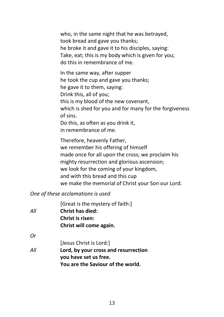who, in the same night that he was betrayed, took bread and gave you thanks; he broke it and gave it to his disciples, saying: Take, eat; this is my body which is given for you; do this in remembrance of me.

In the same way, after supper he took the cup and gave you thanks; he gave it to them, saying: Drink this, all of you; this is my blood of the new covenant, which is shed for you and for many for the forgiveness of sins. Do this, as often as you drink it, in remembrance of me.

Therefore, heavenly Father, we remember his offering of himself made once for all upon the cross; we proclaim his mighty resurrection and glorious ascension; we look for the coming of your kingdom, and with this bread and this cup we make the memorial of Christ your Son our Lord.

## *One of these acclamations is used*

|     | [Great is the mystery of faith:]     |
|-----|--------------------------------------|
| All | <b>Christ has died:</b>              |
|     | <b>Christ is risen:</b>              |
|     | Christ will come again.              |
| 0r  |                                      |
|     | [Jesus Christ is Lord:]              |
| All | Lord, by your cross and resurrection |
|     | you have set us free.                |
|     | You are the Saviour of the world.    |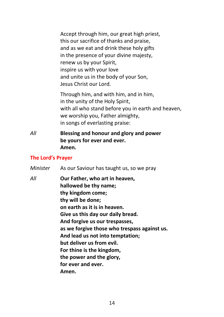Accept through him, our great high priest, this our sacrifice of thanks and praise, and as we eat and drink these holy gifts in the presence of your divine majesty, renew us by your Spirit, inspire us with your love and unite us in the body of your Son, Jesus Christ our Lord.

Through him, and with him, and in him, in the unity of the Holy Spirit, with all who stand before you in earth and heaven, we worship you, Father almighty, in songs of everlasting praise:

*All* **Blessing and honour and glory and power be yours for ever and ever. Amen.**

#### **The Lord's Prayer**

| Minister | As our Saviour has taught us, so we pray                                                                                                                                                                                                                                                                                                                                                                          |
|----------|-------------------------------------------------------------------------------------------------------------------------------------------------------------------------------------------------------------------------------------------------------------------------------------------------------------------------------------------------------------------------------------------------------------------|
| All      | Our Father, who art in heaven,<br>hallowed be thy name;<br>thy kingdom come;<br>thy will be done;<br>on earth as it is in heaven.<br>Give us this day our daily bread.<br>And forgive us our trespasses,<br>as we forgive those who trespass against us.<br>And lead us not into temptation;<br>but deliver us from evil.<br>For thine is the kingdom,<br>the power and the glory,<br>for ever and ever.<br>Amen. |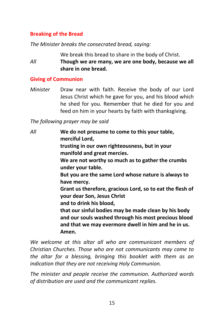## **Breaking of the Bread**

*The Minister breaks the consecrated bread, saying:*

We break this bread to share in the body of Christ.

*All* **Though we are many, we are one body, because we all share in one bread.**

## **Giving of Communion**

*Minister* Draw near with faith. Receive the body of our Lord Jesus Christ which he gave for you, and his blood which he shed for you. Remember that he died for you and feed on him in your hearts by faith with thanksgiving.

*The following prayer may be said*

*All* **We do not presume to come to this your table, merciful Lord, trusting in our own righteousness, but in your manifold and great mercies. We are not worthy so much as to gather the crumbs under your table. But you are the same Lord whose nature is always to have mercy. Grant us therefore, gracious Lord, so to eat the flesh of your dear Son, Jesus Christ and to drink his blood, that our sinful bodies may be made clean by his body and our souls washed through his most precious blood and that we may evermore dwell in him and he in us. Amen.**

*We welcome at this altar all who are communicant members of Christian Churches. Those who are not communicants may come to the altar for a blessing, bringing this booklet with them as an indication that they are not receiving Holy Communion.*

*The minister and people receive the communion. Authorized words of distribution are used and the communicant replies.*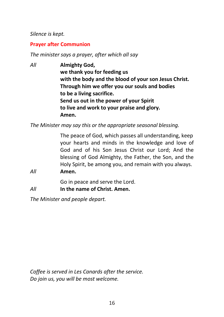## *Silence is kept.*

## **Prayer after Communion**

*The minister says a prayer, after which all say*

*All* **Almighty God, we thank you for feeding us with the body and the blood of your son Jesus Christ. Through him we offer you our souls and bodies to be a living sacrifice. Send us out in the power of your Spirit to live and work to your praise and glory. Amen.**

*The Minister may say this or the appropriate seasonal blessing.*

The peace of God, which passes all understanding, keep your hearts and minds in the knowledge and love of God and of his Son Jesus Christ our Lord; And the blessing of God Almighty, the Father, the Son, and the Holy Spirit, be among you, and remain with you always.

#### *All* **Amen.**

Go in peace and serve the Lord.

*All* **In the name of Christ. Amen.**

*The Minister and people depart.*

*Coffee is served in Les Canards after the service. Do join us, you will be most welcome.*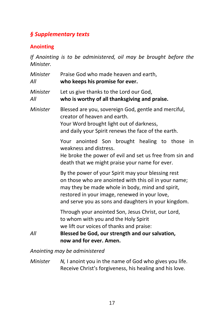# *§ Supplementary texts*

## **Anointing**

*If Anointing is to be administered, oil may be brought before the Minister.*

| Minister<br>All | Praise God who made heaven and earth,<br>who keeps his promise for ever.                                                                                                                                                                                                 |
|-----------------|--------------------------------------------------------------------------------------------------------------------------------------------------------------------------------------------------------------------------------------------------------------------------|
| Minister<br>All | Let us give thanks to the Lord our God,<br>who is worthy of all thanksgiving and praise.                                                                                                                                                                                 |
| Minister        | Blessed are you, sovereign God, gentle and merciful,<br>creator of heaven and earth.<br>Your Word brought light out of darkness,<br>and daily your Spirit renews the face of the earth.                                                                                  |
|                 | Your anointed Son brought healing to those in<br>weakness and distress.<br>He broke the power of evil and set us free from sin and<br>death that we might praise your name for ever.                                                                                     |
|                 | By the power of your Spirit may your blessing rest<br>on those who are anointed with this oil in your name;<br>may they be made whole in body, mind and spirit,<br>restored in your image, renewed in your love,<br>and serve you as sons and daughters in your kingdom. |
| All             | Through your anointed Son, Jesus Christ, our Lord,<br>to whom with you and the Holy Spirit<br>we lift our voices of thanks and praise:<br>Blessed be God, our strength and our salvation,<br>now and for ever. Amen.                                                     |

## *Anointing may be administered*

*Minister N, I* anoint you in the name of God who gives you life. Receive Christ's forgiveness, his healing and his love.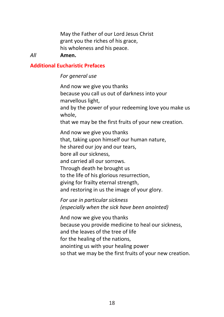May the Father of our Lord Jesus Christ grant you the riches of his grace, his wholeness and his peace.

#### *All* **Amen.**

#### **Additional Eucharistic Prefaces**

#### *For general use*

And now we give you thanks because you call us out of darkness into your marvellous light, and by the power of your redeeming love you make us whole, that we may be the first fruits of your new creation. And now we give you thanks that, taking upon himself our human nature, he shared our joy and our tears, bore all our sickness, and carried all our sorrows. Through death he brought us to the life of his glorious resurrection, giving for frailty eternal strength, and restoring in us the image of your glory.

*For use in particular sickness (especially when the sick have been anointed)*

And now we give you thanks because you provide medicine to heal our sickness, and the leaves of the tree of life for the healing of the nations, anointing us with your healing power so that we may be the first fruits of your new creation.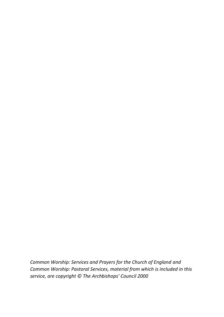*Common Worship: Services and Prayers for the Church of England and Common Worship: Pastoral Services, material from which is included in this service, are copyright © The Archbishops' Council 2000*